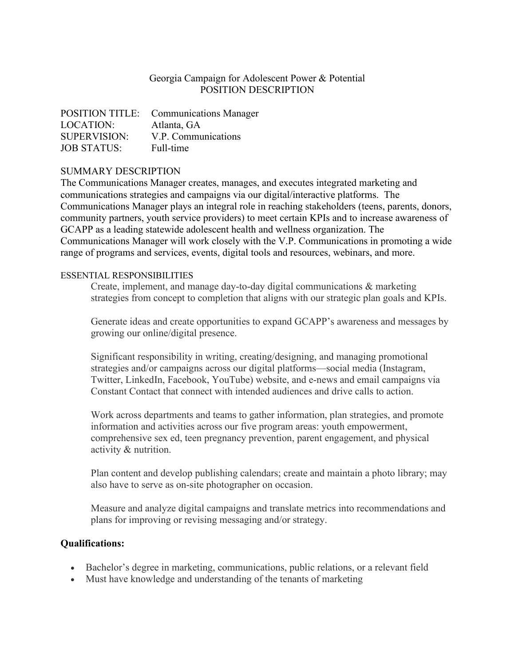## Georgia Campaign for Adolescent Power & Potential POSITION DESCRIPTION

|                     | POSITION TITLE: Communications Manager |
|---------------------|----------------------------------------|
| LOCATION:           | Atlanta, GA                            |
| <b>SUPERVISION:</b> | V.P. Communications                    |
| <b>JOB STATUS:</b>  | Full-time                              |

## SUMMARY DESCRIPTION

The Communications Manager creates, manages, and executes integrated marketing and communications strategies and campaigns via our digital/interactive platforms. The Communications Manager plays an integral role in reaching stakeholders (teens, parents, donors, community partners, youth service providers) to meet certain KPIs and to increase awareness of GCAPP as a leading statewide adolescent health and wellness organization. The Communications Manager will work closely with the V.P. Communications in promoting a wide range of programs and services, events, digital tools and resources, webinars, and more.

## ESSENTIAL RESPONSIBILITIES

Create, implement, and manage day-to-day digital communications & marketing strategies from concept to completion that aligns with our strategic plan goals and KPIs.

Generate ideas and create opportunities to expand GCAPP's awareness and messages by growing our online/digital presence.

Significant responsibility in writing, creating/designing, and managing promotional strategies and/or campaigns across our digital platforms—social media (Instagram, Twitter, LinkedIn, Facebook, YouTube) website, and e-news and email campaigns via Constant Contact that connect with intended audiences and drive calls to action.

Work across departments and teams to gather information, plan strategies, and promote information and activities across our five program areas: youth empowerment, comprehensive sex ed, teen pregnancy prevention, parent engagement, and physical activity & nutrition.

Plan content and develop publishing calendars; create and maintain a photo library; may also have to serve as on-site photographer on occasion.

Measure and analyze digital campaigns and translate metrics into recommendations and plans for improving or revising messaging and/or strategy.

## **Qualifications:**

- Bachelor's degree in marketing, communications, public relations, or a relevant field
- Must have knowledge and understanding of the tenants of marketing